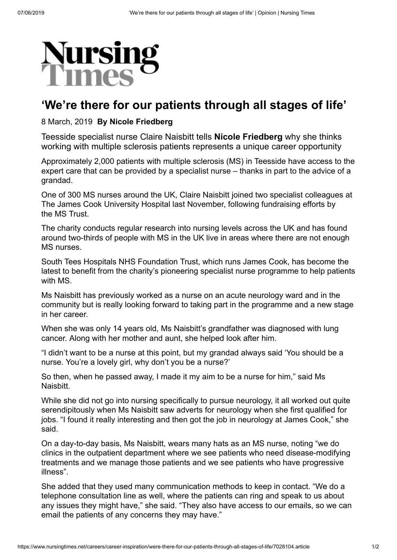

## **'We're there for our patients through all stages of life'**

## 8 March, 2019 **By Nicole Friedberg**

Teesside specialist nurse Claire Naisbitt tells **Nicole Friedberg** why she thinks working with multiple sclerosis patients represents a unique career opportunity

Approximately 2,000 patients with multiple sclerosis (MS) in Teesside have access to the expert care that can be provided by a specialist nurse – thanks in part to the advice of a grandad.

One of 300 MS nurses around the UK, Claire Naisbitt joined two specialist colleagues at The James Cook University Hospital last November, following fundraising efforts by the MS Trust.

The charity conducts regular research into nursing levels across the UK and has found around two-thirds of people with MS in the UK live in areas where there are not enough MS nurses.

South Tees Hospitals NHS Foundation Trust, which runs James Cook, has become the latest to benefit from the charity's pioneering specialist nurse programme to help patients with MS

Ms Naisbitt has previously worked as a nurse on an acute neurology ward and in the community but is really looking forward to taking part in the programme and a new stage in her career.

When she was only 14 years old, Ms Naisbitt's grandfather was diagnosed with lung cancer. Along with her mother and aunt, she helped look after him.

"I didn't want to be a nurse at this point, but my grandad always said 'You should be a nurse. You're a lovely girl, why don't you be a nurse?'

So then, when he passed away, I made it my aim to be a nurse for him," said Ms **Naisbitt** 

While she did not go into nursing specifically to pursue neurology, it all worked out quite serendipitously when Ms Naisbitt saw adverts for neurology when she first qualified for jobs. "I found it really interesting and then got the job in neurology at James Cook," she said.

On a day-to-day basis, Ms Naisbitt, wears many hats as an MS nurse, noting "we do clinics in the outpatient department where we see patients who need disease-modifying treatments and we manage those patients and we see patients who have progressive illness".

She added that they used many communication methods to keep in contact. "We do a telephone consultation line as well, where the patients can ring and speak to us about any issues they might have," she said. "They also have access to our emails, so we can email the patients of any concerns they may have."